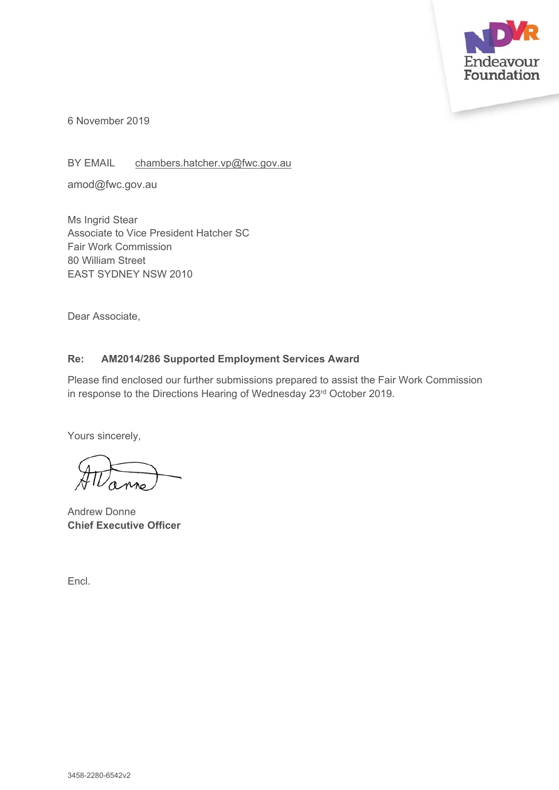

6 November 2019

BY EMAIL chambers.hatcher.vp@fwc.gov.au

amod@fwc.gov.au

Ms Ingrid Stear Associate to Vice President Hatcher SC Fair Work Commission 80 William Street EAST SYDNEY NSW 2010

Dear Associate,

#### **Re: AM2014/286 Supported Employment Services Award**

Please find enclosed our further submissions prepared to assist the Fair Work Commission in response to the Directions Hearing of Wednesday 23rd October 2019.

Yours sincerely,

Andrew Donne **Chief Executive Officer**

Encl.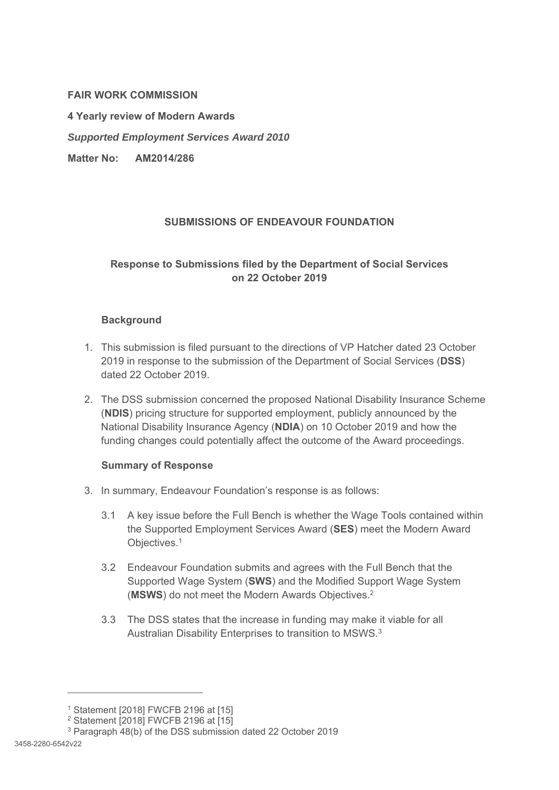#### **FAIR WORK COMMISSION**

**4 Yearly review of Modern Awards** 

*Supported Employment Services Award 2010* 

**Matter No: AM2014/286** 

#### **SUBMISSIONS OF ENDEAVOUR FOUNDATION**

# **Response to Submissions filed by the Department of Social Services on 22 October 2019**

#### **Background**

- 1. This submission is filed pursuant to the directions of VP Hatcher dated 23 October 2019 in response to the submission of the Department of Social Services (**DSS**) dated 22 October 2019.
- 2. The DSS submission concerned the proposed National Disability Insurance Scheme (**NDIS**) pricing structure for supported employment, publicly announced by the National Disability Insurance Agency (**NDIA**) on 10 October 2019 and how the funding changes could potentially affect the outcome of the Award proceedings.

#### **Summary of Response**

- 3. In summary, Endeavour Foundation's response is as follows:
	- 3.1 A key issue before the Full Bench is whether the Wage Tools contained within the Supported Employment Services Award (**SES**) meet the Modern Award Objectives.1
	- 3.2 Endeavour Foundation submits and agrees with the Full Bench that the Supported Wage System (**SWS**) and the Modified Support Wage System (**MSWS**) do not meet the Modern Awards Objectives.2
	- 3.3 The DSS states that the increase in funding may make it viable for all Australian Disability Enterprises to transition to MSWS.3

 $\overline{a}$ 

<sup>1</sup> Statement [2018] FWCFB 2196 at [15]

 $2$  Statement  $[2018]$  FWCFB 2196 at  $[15]$ 

<sup>3</sup> Paragraph 48(b) of the DSS submission dated 22 October 2019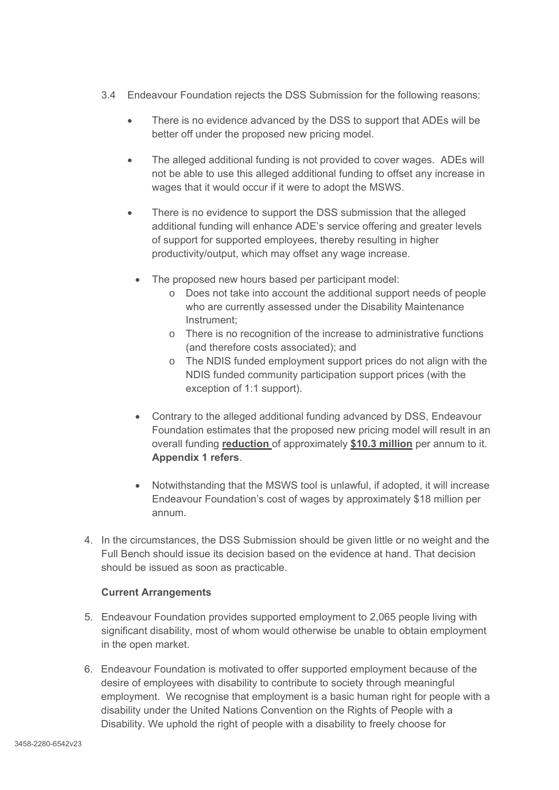- 3.4 Endeavour Foundation rejects the DSS Submission for the following reasons:
	- There is no evidence advanced by the DSS to support that ADEs will be better off under the proposed new pricing model.
	- The alleged additional funding is not provided to cover wages. ADEs will not be able to use this alleged additional funding to offset any increase in wages that it would occur if it were to adopt the MSWS.
	- There is no evidence to support the DSS submission that the alleged additional funding will enhance ADE's service offering and greater levels of support for supported employees, thereby resulting in higher productivity/output, which may offset any wage increase.
		- The proposed new hours based per participant model:
			- o Does not take into account the additional support needs of people who are currently assessed under the Disability Maintenance Instrument;
			- o There is no recognition of the increase to administrative functions (and therefore costs associated); and
			- o The NDIS funded employment support prices do not align with the NDIS funded community participation support prices (with the exception of 1:1 support).
		- Contrary to the alleged additional funding advanced by DSS, Endeavour Foundation estimates that the proposed new pricing model will result in an overall funding **reduction** of approximately **\$10.3 million** per annum to it. **Appendix 1 refers**.
		- Notwithstanding that the MSWS tool is unlawful, if adopted, it will increase Endeavour Foundation's cost of wages by approximately \$18 million per annum.
- 4. In the circumstances, the DSS Submission should be given little or no weight and the Full Bench should issue its decision based on the evidence at hand. That decision should be issued as soon as practicable.

#### **Current Arrangements**

- 5. Endeavour Foundation provides supported employment to 2,065 people living with significant disability, most of whom would otherwise be unable to obtain employment in the open market.
- 6. Endeavour Foundation is motivated to offer supported employment because of the desire of employees with disability to contribute to society through meaningful employment. We recognise that employment is a basic human right for people with a disability under the United Nations Convention on the Rights of People with a Disability. We uphold the right of people with a disability to freely choose for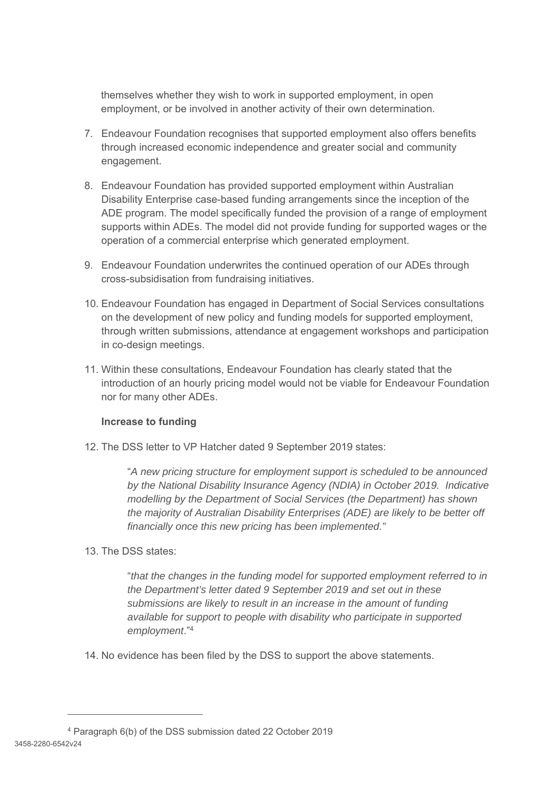themselves whether they wish to work in supported employment, in open employment, or be involved in another activity of their own determination.

- 7. Endeavour Foundation recognises that supported employment also offers benefits through increased economic independence and greater social and community engagement.
- 8. Endeavour Foundation has provided supported employment within Australian Disability Enterprise case-based funding arrangements since the inception of the ADE program. The model specifically funded the provision of a range of employment supports within ADEs. The model did not provide funding for supported wages or the operation of a commercial enterprise which generated employment.
- 9. Endeavour Foundation underwrites the continued operation of our ADEs through cross-subsidisation from fundraising initiatives.
- 10. Endeavour Foundation has engaged in Department of Social Services consultations on the development of new policy and funding models for supported employment, through written submissions, attendance at engagement workshops and participation in co-design meetings.
- 11. Within these consultations, Endeavour Foundation has clearly stated that the introduction of an hourly pricing model would not be viable for Endeavour Foundation nor for many other ADEs.

## **Increase to funding**

12. The DSS letter to VP Hatcher dated 9 September 2019 states:

"*A new pricing structure for employment support is scheduled to be announced by the National Disability Insurance Agency (NDIA) in October 2019. Indicative modelling by the Department of Social Services (the Department) has shown the majority of Australian Disability Enterprises (ADE) are likely to be better off financially once this new pricing has been implemented."* 

#### 13. The DSS states:

-

"*that the changes in the funding model for supported employment referred to in the Department's letter dated 9 September 2019 and set out in these submissions are likely to result in an increase in the amount of funding available for support to people with disability who participate in supported employment*."4

14. No evidence has been filed by the DSS to support the above statements.

<sup>3458-2280-6542</sup>v24 4 Paragraph 6(b) of the DSS submission dated 22 October 2019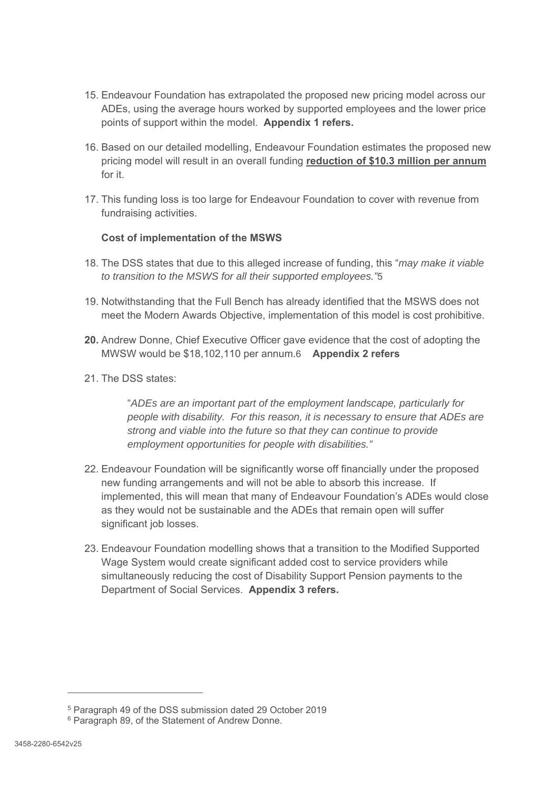- 15. Endeavour Foundation has extrapolated the proposed new pricing model across our ADEs, using the average hours worked by supported employees and the lower price points of support within the model. **Appendix 1 refers.**
- 16. Based on our detailed modelling, Endeavour Foundation estimates the proposed new pricing model will result in an overall funding **reduction of \$10.3 million per annum** for it.
- 17. This funding loss is too large for Endeavour Foundation to cover with revenue from fundraising activities.

#### **Cost of implementation of the MSWS**

- 18. The DSS states that due to this alleged increase of funding, this "*may make it viable to transition to the MSWS for all their supported employees."*5
- 19. Notwithstanding that the Full Bench has already identified that the MSWS does not meet the Modern Awards Objective, implementation of this model is cost prohibitive.
- **20.** Andrew Donne, Chief Executive Officer gave evidence that the cost of adopting the MWSW would be \$18,102,110 per annum.6 **Appendix 2 refers**
- 21. The DSS states:

"*ADEs are an important part of the employment landscape, particularly for people with disability. For this reason, it is necessary to ensure that ADEs are strong and viable into the future so that they can continue to provide employment opportunities for people with disabilities."*

- 22. Endeavour Foundation will be significantly worse off financially under the proposed new funding arrangements and will not be able to absorb this increase. If implemented, this will mean that many of Endeavour Foundation's ADEs would close as they would not be sustainable and the ADEs that remain open will suffer significant job losses.
- 23. Endeavour Foundation modelling shows that a transition to the Modified Supported Wage System would create significant added cost to service providers while simultaneously reducing the cost of Disability Support Pension payments to the Department of Social Services. **Appendix 3 refers.**

 $\overline{a}$ 

<sup>5</sup> Paragraph 49 of the DSS submission dated 29 October 2019

<sup>&</sup>lt;sup>6</sup> Paragraph 89, of the Statement of Andrew Donne.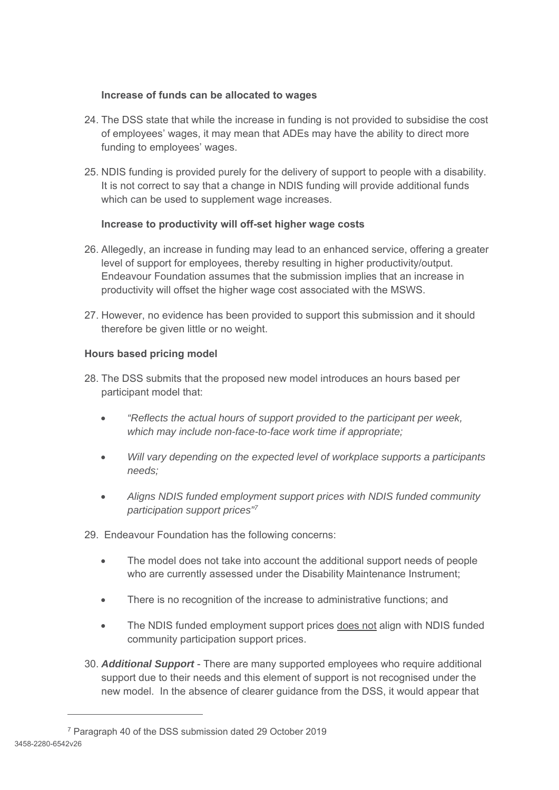# **Increase of funds can be allocated to wages**

- 24. The DSS state that while the increase in funding is not provided to subsidise the cost of employees' wages, it may mean that ADEs may have the ability to direct more funding to employees' wages.
- 25. NDIS funding is provided purely for the delivery of support to people with a disability. It is not correct to say that a change in NDIS funding will provide additional funds which can be used to supplement wage increases.

# **Increase to productivity will off-set higher wage costs**

- 26. Allegedly, an increase in funding may lead to an enhanced service, offering a greater level of support for employees, thereby resulting in higher productivity/output. Endeavour Foundation assumes that the submission implies that an increase in productivity will offset the higher wage cost associated with the MSWS.
- 27. However, no evidence has been provided to support this submission and it should therefore be given little or no weight.

# **Hours based pricing model**

- 28. The DSS submits that the proposed new model introduces an hours based per participant model that:
	- *"Reflects the actual hours of support provided to the participant per week, which may include non-face-to-face work time if appropriate;*
	- *Will vary depending on the expected level of workplace supports a participants needs;*
	- *Aligns NDIS funded employment support prices with NDIS funded community participation support prices"7*
- 29. Endeavour Foundation has the following concerns:
	- The model does not take into account the additional support needs of people who are currently assessed under the Disability Maintenance Instrument;
	- There is no recognition of the increase to administrative functions; and
	- The NDIS funded employment support prices does not align with NDIS funded community participation support prices.
- 30. *Additional Support* There are many supported employees who require additional support due to their needs and this element of support is not recognised under the new model. In the absence of clearer guidance from the DSS, it would appear that

-

<sup>3458-2280-6542</sup>v26 7 Paragraph 40 of the DSS submission dated 29 October 2019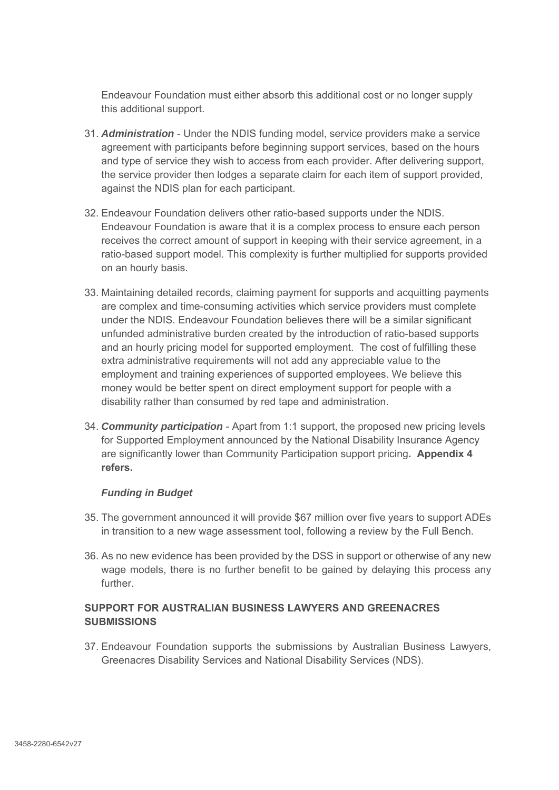Endeavour Foundation must either absorb this additional cost or no longer supply this additional support.

- 31. *Administration* Under the NDIS funding model, service providers make a service agreement with participants before beginning support services, based on the hours and type of service they wish to access from each provider. After delivering support, the service provider then lodges a separate claim for each item of support provided, against the NDIS plan for each participant.
- 32. Endeavour Foundation delivers other ratio-based supports under the NDIS. Endeavour Foundation is aware that it is a complex process to ensure each person receives the correct amount of support in keeping with their service agreement, in a ratio-based support model. This complexity is further multiplied for supports provided on an hourly basis.
- 33. Maintaining detailed records, claiming payment for supports and acquitting payments are complex and time-consuming activities which service providers must complete under the NDIS. Endeavour Foundation believes there will be a similar significant unfunded administrative burden created by the introduction of ratio-based supports and an hourly pricing model for supported employment. The cost of fulfilling these extra administrative requirements will not add any appreciable value to the employment and training experiences of supported employees. We believe this money would be better spent on direct employment support for people with a disability rather than consumed by red tape and administration.
- 34. *Community participation* Apart from 1:1 support, the proposed new pricing levels for Supported Employment announced by the National Disability Insurance Agency are significantly lower than Community Participation support pricing**. Appendix 4 refers.**

#### *Funding in Budget*

- 35. The government announced it will provide \$67 million over five years to support ADEs in transition to a new wage assessment tool, following a review by the Full Bench.
- 36. As no new evidence has been provided by the DSS in support or otherwise of any new wage models, there is no further benefit to be gained by delaying this process any further.

#### **SUPPORT FOR AUSTRALIAN BUSINESS LAWYERS AND GREENACRES SUBMISSIONS**

37. Endeavour Foundation supports the submissions by Australian Business Lawyers, Greenacres Disability Services and National Disability Services (NDS).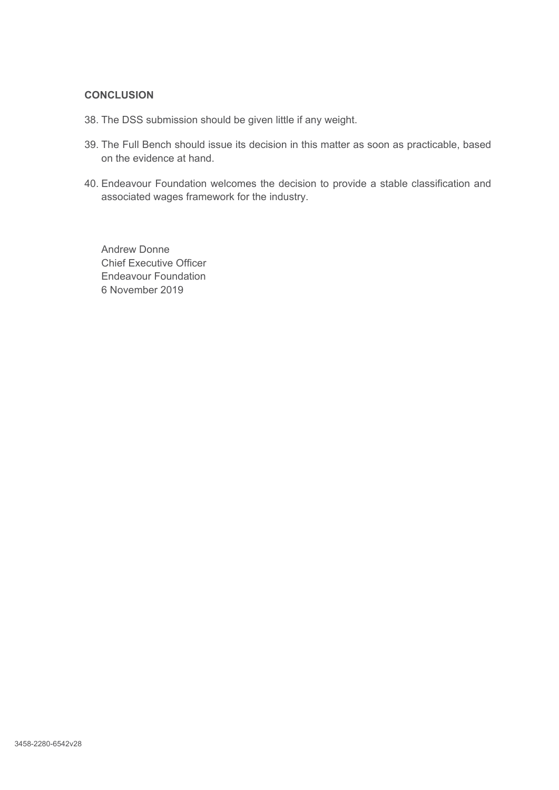#### **CONCLUSION**

- 38. The DSS submission should be given little if any weight.
- 39. The Full Bench should issue its decision in this matter as soon as practicable, based on the evidence at hand.
- 40. Endeavour Foundation welcomes the decision to provide a stable classification and associated wages framework for the industry.

Andrew Donne Chief Executive Officer Endeavour Foundation 6 November 2019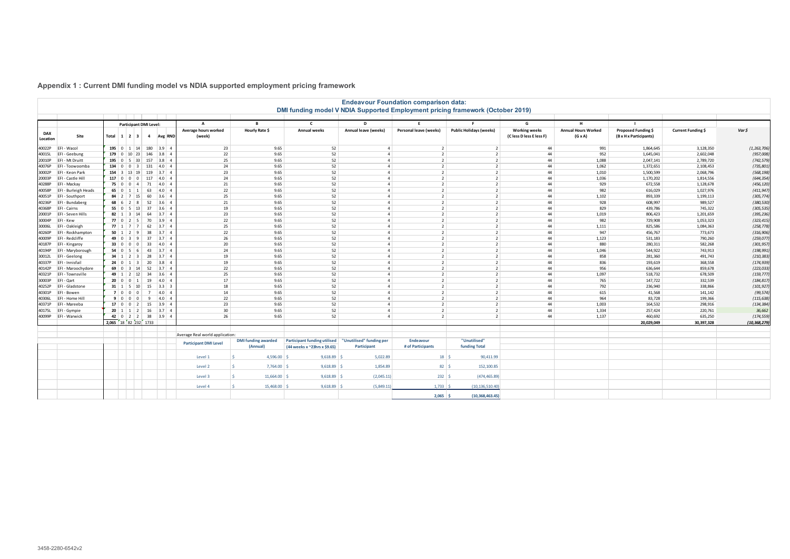# **Appendix 1 : Current DMI funding model vs NDIA supported employment pricing framework**

| <b>Endeavour Foundation comparison data:</b><br>DMI funding model V NDIA Supported Employment pricing framework (October 2019) |                             |                                |                                   |                          |                       |                                            |                                |                                     |                           |                          |                                |                                                       |                                              |                                               |                    |                |
|--------------------------------------------------------------------------------------------------------------------------------|-----------------------------|--------------------------------|-----------------------------------|--------------------------|-----------------------|--------------------------------------------|--------------------------------|-------------------------------------|---------------------------|--------------------------|--------------------------------|-------------------------------------------------------|----------------------------------------------|-----------------------------------------------|--------------------|----------------|
|                                                                                                                                |                             |                                |                                   |                          |                       |                                            |                                |                                     |                           |                          |                                |                                                       | н                                            |                                               |                    |                |
| <b>DAX</b><br>Location                                                                                                         | Site                        | Total $1 \mid 2 \mid 3 \mid 4$ | <b>Participant DMI Level:</b>     |                          | Avg RND               | $\Delta$<br>Average hours worked<br>(week) | $\mathbf{R}$<br>Hourly Rate \$ | $\mathsf{c}$<br><b>Annual weeks</b> | D<br>Annual leave (weeks) | Personal leave (weeks)   | <b>Public Holidays (weeks)</b> | G<br><b>Working weeks</b><br>(C less D less E less F) | <b>Annual Hours Worked</b><br>$(G \times A)$ | Proposed Funding \$<br>(B x H x Participants) | Current Funding \$ | Var \$         |
|                                                                                                                                | 40022P EFI - Wacol          | 195 $0$ 1 14                   |                                   | 180                      | 3.9<br>$\overline{4}$ | 23                                         | 9.65                           | 52                                  | $\overline{4}$            | 2                        | $\overline{2}$                 | 44                                                    | 991                                          | 1,864,645                                     | 3,128,350          | (1, 263, 706)  |
| 40015L                                                                                                                         | EFI - Geebung               | $179$ 0 10 23                  |                                   | 146                      | 3.8<br>$\overline{4}$ | 22                                         | 9.65                           | 52                                  | $\Delta$                  | $\overline{2}$           | 2 <sup>1</sup>                 | 44                                                    | 952                                          | 1,645,041                                     | 2,602,048          | (957,008)      |
| 20010P                                                                                                                         | EFI - Mt Druitt             | $195$ 0                        | $5 \mid 33 \mid$                  | 157                      | 3.8<br>$\overline{4}$ | 25                                         | 9.65                           | 52                                  | $\overline{a}$            | $\overline{2}$           | 2 <sup>1</sup>                 | 44                                                    | 1,088                                        | 2,047,141                                     | 2,789,720          | (742, 579)     |
| 40076P                                                                                                                         | EFI - Toowoomba             | $134 \ 0$                      | $\Omega$<br>$\overline{3}$        | 131                      | $ 4.0 $ 4             | 24                                         | 9.65                           | 52                                  | $\overline{4}$            | $\overline{z}$           | $\overline{2}$                 | 44                                                    | 1,062                                        | 1,372,651                                     | 2,108,453          | (735, 801)     |
| 30002P                                                                                                                         | EFI - Keon Park             | $154 \quad 3$                  | 13 19                             | 119                      | $3.7 \quad 4$         | 23                                         | 9.65                           | 52                                  | $\overline{a}$            | $\overline{2}$           | $\overline{2}$                 | 44                                                    | 1,010                                        | 1,500,599                                     | 2,068,796          | (568, 198)     |
| 20003P                                                                                                                         | <b>EFI-Castle Hill</b>      | $117$ 0 0                      | $\overline{0}$                    | 117                      | $ 4.0 $ 4             | 24                                         | 9.65                           | 52                                  | $\overline{4}$            | $\overline{\phantom{a}}$ | $\overline{2}$                 | 44                                                    | 1,036                                        | 1,170,202                                     | 1,814,556          | (644, 354)     |
| 40288P                                                                                                                         | EFI - Mackay                | 75 0                           | $\overline{0}$<br>$\vert$ 4       | 71                       | $4.0 \quad 4$         | 21                                         | 9.65                           | 52                                  | $\overline{a}$            | $\overline{2}$           | 2 <sup>1</sup>                 | 44                                                    | 929                                          | 672,558                                       | 1,128,678          | (456, 120)     |
|                                                                                                                                | 40058P EFI - Burleigh Heads |                                | $65$ 0 1 1                        | 63                       | $ 4.0 $ 4             | 22                                         | 9.65                           | 52                                  | $\overline{a}$            | $\overline{2}$           | $\overline{2}$                 | 44                                                    | 982                                          | 616,029                                       | 1,027,976          | (411, 947)     |
|                                                                                                                                | 40051P   EFI - Southport    |                                | $84$   2   7   15                 | 60                       | $3.6$ 4               | 25                                         | 9.65                           | 52                                  | $\Delta$                  | $\overline{2}$           | $\overline{2}$                 | 44                                                    | 1,102                                        | 893,339                                       | 1,199,113          | (305, 774)     |
|                                                                                                                                | 40236P EFI - Bundaberg      |                                | $68 \mid 6 \mid 2 \mid 8$         | 52                       | $ 3.6 $ 4             | 21                                         | 9.65                           | 52                                  | $\overline{a}$            | $\overline{2}$           | $\overline{2}$                 | 44                                                    | 928                                          | 608,997                                       | 989,527            | (380, 530)     |
| 40368P                                                                                                                         | EFI - Cairns                | $55 \mid 0$                    | $5 \mid 13 \mid$                  | 37                       | $3.6$ 4               | 19                                         | 9.65                           | 52                                  | $\Delta$                  | $\overline{2}$           | 2 <sup>1</sup>                 | 44                                                    | 829                                          | 439,786                                       | 745,322            | (305, 535)     |
|                                                                                                                                | 20001P   EFI - Seven Hills  |                                | <b>82</b> 1 3 14 64               |                          | 3.7<br>$\overline{4}$ | 23                                         | 9.65                           | 52                                  | $\overline{a}$            | $\overline{2}$           | 2 <sup>1</sup>                 | 44                                                    | 1,019                                        | 806,423                                       | 1,201,659          | (395, 236)     |
| 30004P                                                                                                                         | EFI - Kew                   |                                | $77$ 0 2 5                        | 70                       | $3.9$ 4               | 22                                         | 9.65                           | 52                                  | $\overline{4}$            | $\overline{2}$           | 2                              | 44                                                    | 982                                          | 729,908                                       | 1,053,323          | (323, 415)     |
|                                                                                                                                | 30006L EFI-Oakleigh         |                                | <b>77</b> 1 7 7 62                |                          | $3.7$ 4               | 25                                         | 9.65                           | 52                                  | $\Delta$                  | $\overline{2}$           | $\overline{2}$                 | 44                                                    | 1,111                                        | 825,586                                       | 1,084,363          | (258, 778)     |
| 40260P                                                                                                                         | EFI - Rockhampton           |                                | $50 \mid 1 \mid 2 \mid 9 \mid$    | 38                       | $3.7 \quad 4$         | 22                                         | 9.65                           | 52                                  | $\overline{4}$            | 2                        | 2 <sup>1</sup>                 | 44                                                    | 947                                          | 456,767                                       | 773,673            | (316, 906)     |
| 40009P                                                                                                                         | EFI - Redcliffe             |                                | 49 0 3 9 37                       |                          | $3.7$ 4               | 26                                         | 9.65                           | 52                                  | $\overline{a}$            | $\overline{2}$           | $\overline{2}$                 | 44                                                    | 1,123                                        | 531,183                                       | 790,260            | (259, 077)     |
| 40187P                                                                                                                         | <b>EFI-Kingaroy</b>         | 33000                          | $\overline{0}$                    | 33                       | $4.0 \quad 4$         | 20                                         | 9.65                           | 52                                  | $\overline{a}$            | $\overline{2}$           | $\overline{2}$                 | 44                                                    | 880                                          | 280,311                                       | 582,268            | (301, 957)     |
|                                                                                                                                | 40194P EFI - Maryborough    | $54 \mid 0 \mid 5$             | 6 <sup>6</sup>                    | 43                       | $3.7$ 4               | 24                                         | 9.65                           | 52                                  | $\Delta$                  | $\overline{2}$           | $\overline{2}$                 | 44                                                    | 1,046                                        | 544,922                                       | 743,913            | (198, 991)     |
|                                                                                                                                | 30012L EFI-Geelong          |                                | $34$   1   2   3                  | 28                       | $3.7$ 4               | 19                                         | 9.65                           | 52                                  | $\overline{a}$            | $\overline{2}$           | $\overline{2}$                 | 44                                                    | 858                                          | 281,360                                       | 491,743            | (210, 383)     |
|                                                                                                                                | 40337P   EFI - Innisfail    |                                | $24 \mid 0 \mid 1 \mid 3$         | 20                       | 3.8<br>$\overline{4}$ | 19                                         | 9.65                           | 52                                  | $\overline{a}$            | $\overline{2}$           | $\overline{2}$                 | 44                                                    | 836                                          | 193,619                                       | 368,558            | (174, 939)     |
|                                                                                                                                | 40142P EFI - Maroochydore   |                                | 69 0 3 14                         | 52                       | $3.7$ 4               | 22                                         | 9.65                           | 52                                  | $\overline{a}$            | $\overline{2}$           | $\overline{2}$                 | 44                                                    | 956                                          | 636,644                                       | 859,678            | (223, 033)     |
| 40321P                                                                                                                         | EFI - Townsville            |                                | 49 $1 \ 2 \ 12$                   | 34                       | 3.6<br>$\overline{4}$ | 25                                         | 9.65                           | 52                                  | $\overline{a}$            | $\overline{2}$           | $\overline{2}$                 | 44                                                    | 1,097                                        | 518,732                                       | 678,509            | (159, 777)     |
| 30003P                                                                                                                         | EFI - Qart                  | 20000                          |                                   | 19                       | $4.0$ 4               | 17                                         | 9.65                           | 52                                  | $\overline{a}$            | $\overline{z}$           | $\overline{2}$                 | 44                                                    | 765                                          | 147,722                                       | 332,539            | (184, 817)     |
| 40252P                                                                                                                         | EFI - Gladstone             |                                | $31 \mid 1 \mid 5 \mid 10 \mid$   | 15                       | $3.3$ 3               | 18                                         | 9.65                           | 52                                  | $\overline{4}$            | $\overline{2}$           | 2 <sup>1</sup>                 | 44                                                    | 792                                          | 236,940                                       | 338,866            | (101, 927)     |
| 40301P                                                                                                                         | EFI - Bowen                 | 700                            | $\overline{0}$                    | $\overline{7}$           | $4.0 \quad 4$         | 14                                         | 9.65                           | 52                                  | $\Delta$                  | $\overline{2}$           | $\overline{2}$                 | 44                                                    | 615                                          | 41,568                                        | 141,142            | (99, 574)      |
| 40306L                                                                                                                         | <b>EFI - Home Hill</b>      | 9 I O                          | n                                 | $\Omega$<br>$\mathbf{q}$ | $4.0 \,   \, 4$       | 22                                         | 9.65                           | 52                                  | $\overline{a}$            | $\overline{2}$           | $\overline{2}$                 | 44                                                    | 964                                          | 83,728                                        | 199,366            | (115, 638)     |
| 40371P                                                                                                                         | EFI - Mareeba               |                                | 17 0 0 2 15                       |                          | $ 3.9 $ 4             | 23                                         | 9.65                           | 52                                  | $\overline{a}$            | $\overline{2}$           | $\overline{2}$                 | 44                                                    | 1,003                                        | 164,532                                       | 298,916            | (134, 384)     |
|                                                                                                                                | 40175L EFI - Gympie         |                                | $20 \mid 1 \mid 1 \mid 2 \mid 16$ |                          | $3.7$ 4               | 30                                         | 9.65                           | 52                                  | $\overline{a}$            | $\overline{2}$           | 2                              | 44                                                    | 1,334                                        | 257,424                                       | 220,761            | 36,662         |
|                                                                                                                                | 40099P EFI - Warwick        |                                | 42 0 2 2 38                       |                          | $3.9$ 4               | 26                                         | 9.65                           | 52                                  | $\overline{a}$            | $\overline{2}$           | 2                              | 44                                                    | 1,137                                        | 460,692                                       | 635,250            | (174, 559)     |
|                                                                                                                                |                             | 2,065 18 82 232 1733           |                                   |                          |                       |                                            |                                |                                     |                           |                          |                                |                                                       |                                              | 20,029,049                                    | 30,397,328         | (10, 368, 279) |
|                                                                                                                                |                             |                                |                                   |                          |                       |                                            |                                |                                     |                           |                          |                                |                                                       |                                              |                                               |                    |                |
|                                                                                                                                |                             |                                |                                   |                          |                       | Average Real world application:            |                                |                                     |                           |                          |                                |                                                       |                                              |                                               |                    |                |
|                                                                                                                                |                             |                                |                                   |                          |                       |                                            | <b>DMI funding awarded</b>     | <b>Participant funding utilised</b> | "Unutilised" funding per  | Endeavour                | "Unutilised"                   |                                                       |                                              |                                               |                    |                |
|                                                                                                                                |                             |                                |                                   |                          |                       | <b>Participant DMI Level</b>               | (Annual)                       | (44 weeks x ~23hrs x \$9.65)        | Participant               | # of Participants        | <b>funding Total</b>           |                                                       |                                              |                                               |                    |                |
|                                                                                                                                |                             |                                |                                   |                          |                       | Level 1                                    | 4,596.00                       | 9,618.89                            | 5,022.89                  | $18 \mid 5$              | 90,411.99                      |                                                       |                                              |                                               |                    |                |
|                                                                                                                                |                             |                                |                                   |                          |                       | Level 2                                    | $\zeta$<br>$7,764.00$ \$       | 9,618.89                            | 1,854.89                  | $82 \mid 5$              | 152, 100.85                    |                                                       |                                              |                                               |                    |                |
|                                                                                                                                |                             |                                |                                   |                          |                       | Level 3                                    | 11,664.00<br>$\leq$            | 9,618.89                            | (2,045.11)                | $232 \mid 5$             | (474, 465.89)                  |                                                       |                                              |                                               |                    |                |
|                                                                                                                                |                             |                                |                                   |                          |                       | Level 4                                    | 15,468.00                      | 9,618.89                            | (5,849.11)                | 1,733                    | (10, 136, 510.40)              |                                                       |                                              |                                               |                    |                |
|                                                                                                                                |                             |                                |                                   |                          |                       |                                            |                                |                                     |                           | $2,065$ \$               | (10, 368, 463.45)              |                                                       |                                              |                                               |                    |                |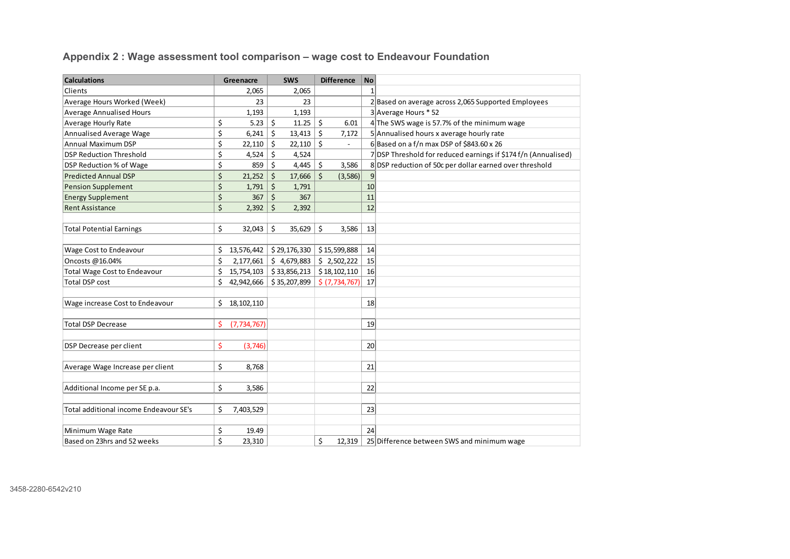**Calculations Greenacre SWS Difference No** Clients 2,065 | 2,065 | 1 Average Hours Worked (Week) 23 23 2 Based on average across 2,065 Supported Employees Average Annualised Hours 1,193 1,193 3 Average Hours \* 52 Average Hourly Rate  $\begin{vmatrix} 5 & 5.23 & 5 \\ 1.25 & 6.01 & 4 \end{vmatrix}$  The SWS wage is 57.7% of the minimum wage Annualised Average Wage  $\begin{vmatrix} 5 & 6,241 & 5 & 13,413 & 5 & 7,172 & 5 \end{vmatrix}$  Annualised hours x average hourly rate Annual Maximum DSP  $\begin{vmatrix} 5 & 22,110 & 5 & 22,110 & 5 & - & 6 \end{vmatrix}$  6 Based on a f/n max DSP of \$843.60 x 26 DSP Reduction Threshold  $\begin{vmatrix} 5 & 4.524 & 4.524 \end{vmatrix}$   $\begin{vmatrix} 2 & 4.524 & 4.524 \end{vmatrix}$   $\begin{vmatrix} 7 & 0.524 & 7 \end{vmatrix}$  DSP Threshold for reduced earnings if \$174 f/n (Annualised) DSP Reduction % of Wage  $\begin{vmatrix} 5 & 859 & 5 & 4,445 & 5 & 3,586 & 8 & 0 \end{vmatrix}$  SIDSP reduction of 50c per dollar earned over threshold Predicted Annual DSP  $\begin{vmatrix} 5 & 21.252 & 5 & 17,666 & 5 & (3,586) \end{vmatrix}$ Pension Supplement  $\begin{vmatrix} 5 & 1,791 \end{vmatrix}$   $\begin{vmatrix} 5 & 1,791 \end{vmatrix}$   $\begin{vmatrix} 1,791 \end{vmatrix}$ Energy Supplement  $\begin{array}{|c|c|c|c|c|c|c|c|c|} \hline \text{Energy Supplement} & \text{S} & 367 & \text{S} & 367 & \text{I1} \ \hline \end{array}$ Rent Assistance 2,392 \$ 2,392 \$ 12 Total Potential Earnings<br> $\begin{array}{|c|c|c|c|c|c|c|c|c|}\n\hline\n\text{Total Potential Earnings} & \text{S2.043} & \text{S} & \text{35.629} & \text{S} & \text{3.586} & \text{13}\n\end{array}$ Wage Cost to Endeavour 13,576,442 \$ 29, \$ 15,599,888 176,330 \$ <sup>14</sup> Oncosts @16.04% 2,177,661 \$ 4, \$ 2,502,222 679,883 \$ 15 Total Wage Cost to Endeavour  $\begin{vmatrix} 5 & 15,754,103 & 33,856,213 & 518,102,110 & 16 \end{vmatrix}$  $\begin{array}{|c|c|c|c|c|c|c|c|c|c|c|c|} \hline \text{Total DSP cost} & & & & \S & 42,942,666 & & \S & 35,207,899 & & \S & (7,734,767) & & 17 \hline \end{array}$ Wage increase Cost to Endeavour  $\begin{array}{|c|c|c|c|c|c|} \hline \text{Wage increase Cost to Endeavour} & \text{S} & \text{18,102,110} \hline \end{array}$ Total DSP Decrease $\binom{5}{1734,767}$  19 DSP Decrease per client \$ (3,746) 20 Average Wage Increase per client  $\begin{vmatrix} 5 & 8.768 \end{vmatrix}$   $\begin{vmatrix} 21 \end{vmatrix}$ Additional Income per SE p.a. 3,586 \$ <sup>22</sup> Total additional income Endeavour SE's  $\begin{array}{|c|c|c|c|c|c|} \hline 5 & 7,403,529 \hline \end{array}$  23 Minimum Wage Rate  $\begin{array}{|c|c|c|c|c|} \hline \text{Minimum Wage Rate} & \text{324} \end{array}$ Based on 23hrs and 52 weeks  $\begin{vmatrix} 5 & 23,310 \end{vmatrix}$   $\begin{vmatrix} 12,319 & 25 \end{vmatrix}$  Difference between SWS and minimum wage

**Appendix 2 : Wage assessment tool comparison – wage cost to Endeavour Foundation**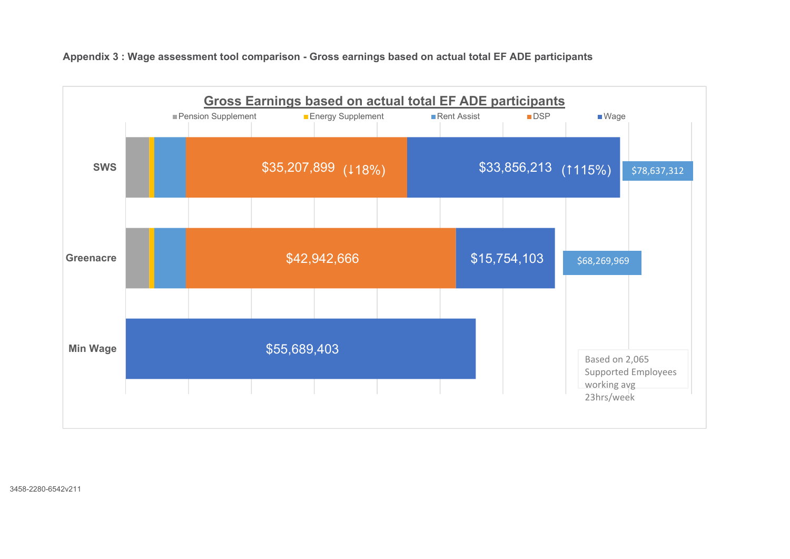

**Appendix 3 : Wage assessment tool comparison - Gross earnings based on actual total EF ADE participants** 

3458-2280-6542v211